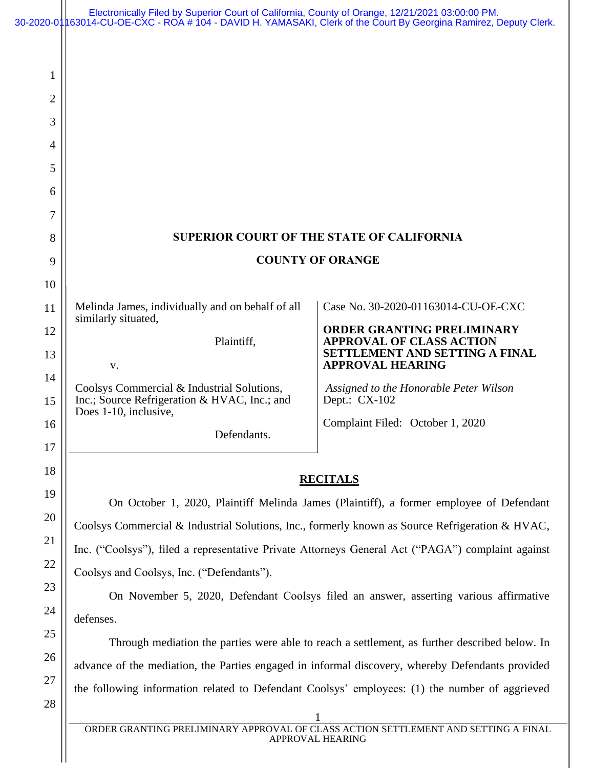|    | Electronically Filed by Superior Court of California, County of Orange, 12/21/2021 03:00:00 PM.<br>30-2020-01∥63014-CU-OE-CXC - ROA # 104 - DAVID H. YAMASAKI, Clerk of the Čourt By Georgina Ramirez, Deputy Clerk. |                                                                      |
|----|----------------------------------------------------------------------------------------------------------------------------------------------------------------------------------------------------------------------|----------------------------------------------------------------------|
|    |                                                                                                                                                                                                                      |                                                                      |
| 1  |                                                                                                                                                                                                                      |                                                                      |
| 2  |                                                                                                                                                                                                                      |                                                                      |
| 3  |                                                                                                                                                                                                                      |                                                                      |
| 4  |                                                                                                                                                                                                                      |                                                                      |
| 5  |                                                                                                                                                                                                                      |                                                                      |
| 6  |                                                                                                                                                                                                                      |                                                                      |
| 7  |                                                                                                                                                                                                                      |                                                                      |
| 8  | <b>SUPERIOR COURT OF THE STATE OF CALIFORNIA</b>                                                                                                                                                                     |                                                                      |
| 9  | <b>COUNTY OF ORANGE</b>                                                                                                                                                                                              |                                                                      |
| 10 |                                                                                                                                                                                                                      |                                                                      |
| 11 | Melinda James, individually and on behalf of all<br>similarly situated,                                                                                                                                              | Case No. 30-2020-01163014-CU-OE-CXC                                  |
| 12 | Plaintiff,                                                                                                                                                                                                           | <b>ORDER GRANTING PRELIMINARY</b><br><b>APPROVAL OF CLASS ACTION</b> |
| 13 | V.                                                                                                                                                                                                                   | SETTLEMENT AND SETTING A FINAL<br><b>APPROVAL HEARING</b>            |
| 14 | Coolsys Commercial & Industrial Solutions,                                                                                                                                                                           | Assigned to the Honorable Peter Wilson                               |
| 15 | Inc.; Source Refrigeration & HVAC, Inc.; and<br>Does 1-10, inclusive,                                                                                                                                                | Dept.: CX-102                                                        |
| 16 | Defendants.                                                                                                                                                                                                          | Complaint Filed: October 1, 2020                                     |
| 17 |                                                                                                                                                                                                                      |                                                                      |
| 18 | <b>RECITALS</b>                                                                                                                                                                                                      |                                                                      |
| 19 | On October 1, 2020, Plaintiff Melinda James (Plaintiff), a former employee of Defendant                                                                                                                              |                                                                      |
| 20 | Coolsys Commercial & Industrial Solutions, Inc., formerly known as Source Refrigeration & HVAC,                                                                                                                      |                                                                      |
| 21 | Inc. ("Coolsys"), filed a representative Private Attorneys General Act ("PAGA") complaint against                                                                                                                    |                                                                      |
| 22 | Coolsys and Coolsys, Inc. ("Defendants").                                                                                                                                                                            |                                                                      |
| 23 | On November 5, 2020, Defendant Coolsys filed an answer, asserting various affirmative                                                                                                                                |                                                                      |
| 24 | defenses.                                                                                                                                                                                                            |                                                                      |
| 25 | Through mediation the parties were able to reach a settlement, as further described below. In                                                                                                                        |                                                                      |
| 26 | advance of the mediation, the Parties engaged in informal discovery, whereby Defendants provided                                                                                                                     |                                                                      |
| 27 | the following information related to Defendant Coolsys' employees: (1) the number of aggrieved                                                                                                                       |                                                                      |
| 28 |                                                                                                                                                                                                                      |                                                                      |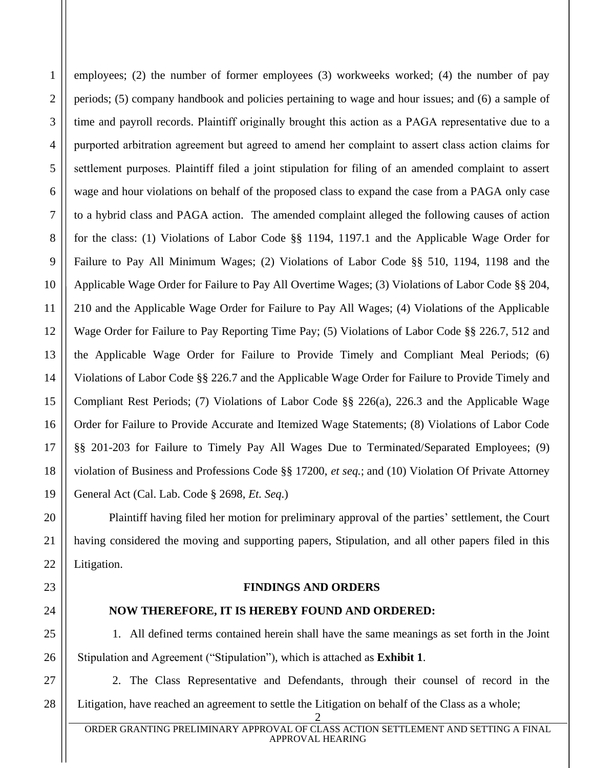employees; (2) the number of former employees (3) workweeks worked; (4) the number of pay periods; (5) company handbook and policies pertaining to wage and hour issues; and (6) a sample of time and payroll records. Plaintiff originally brought this action as a PAGA representative due to a purported arbitration agreement but agreed to amend her complaint to assert class action claims for settlement purposes. Plaintiff filed a joint stipulation for filing of an amended complaint to assert wage and hour violations on behalf of the proposed class to expand the case from a PAGA only case to a hybrid class and PAGA action. The amended complaint alleged the following causes of action for the class: (1) Violations of Labor Code §§ 1194, 1197.1 and the Applicable Wage Order for Failure to Pay All Minimum Wages; (2) Violations of Labor Code §§ 510, 1194, 1198 and the Applicable Wage Order for Failure to Pay All Overtime Wages; (3) Violations of Labor Code §§ 204, 210 and the Applicable Wage Order for Failure to Pay All Wages; (4) Violations of the Applicable Wage Order for Failure to Pay Reporting Time Pay; (5) Violations of Labor Code §§ 226.7, 512 and the Applicable Wage Order for Failure to Provide Timely and Compliant Meal Periods; (6) Violations of Labor Code §§ 226.7 and the Applicable Wage Order for Failure to Provide Timely and Compliant Rest Periods; (7) Violations of Labor Code §§ 226(a), 226.3 and the Applicable Wage Order for Failure to Provide Accurate and Itemized Wage Statements; (8) Violations of Labor Code §§ 201-203 for Failure to Timely Pay All Wages Due to Terminated/Separated Employees; (9) violation of Business and Professions Code §§ 17200, *et seq.*; and (10) Violation Of Private Attorney General Act (Cal. Lab. Code § 2698, *Et. Seq*.)

Plaintiff having filed her motion for preliminary approval of the parties' settlement, the Court having considered the moving and supporting papers, Stipulation, and all other papers filed in this Litigation.

## **FINDINGS AND ORDERS**

## **NOW THEREFORE, IT IS HEREBY FOUND AND ORDERED:**

1. All defined terms contained herein shall have the same meanings as set forth in the Joint Stipulation and Agreement ("Stipulation"), which is attached as **Exhibit 1**.

2. The Class Representative and Defendants, through their counsel of record in the Litigation, have reached an agreement to settle the Litigation on behalf of the Class as a whole;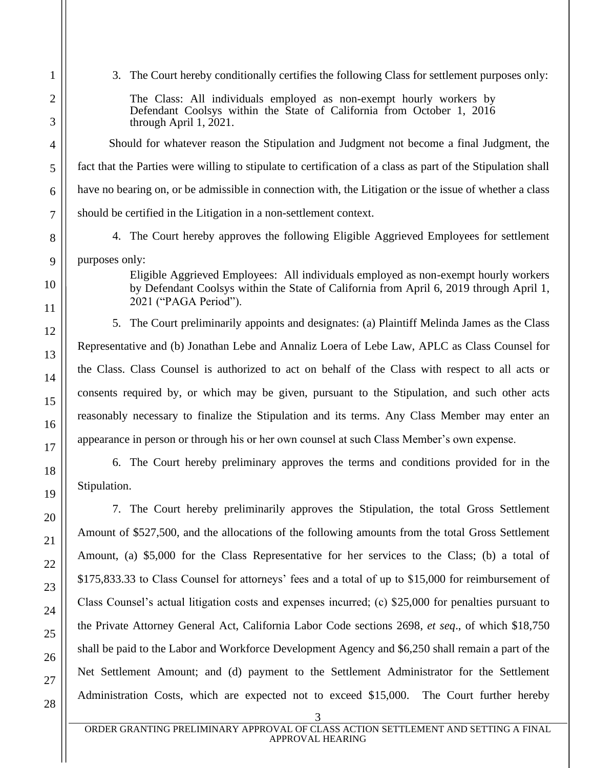3. The Court hereby conditionally certifies the following Class for settlement purposes only:

The Class: All individuals employed as non-exempt hourly workers by Defendant Coolsys within the State of California from October 1, 2016 through April 1, 2021.

Should for whatever reason the Stipulation and Judgment not become a final Judgment, the fact that the Parties were willing to stipulate to certification of a class as part of the Stipulation shall have no bearing on, or be admissible in connection with, the Litigation or the issue of whether a class should be certified in the Litigation in a non-settlement context.

4. The Court hereby approves the following Eligible Aggrieved Employees for settlement purposes only:

> Eligible Aggrieved Employees: All individuals employed as non-exempt hourly workers by Defendant Coolsys within the State of California from April 6, 2019 through April 1, 2021 ("PAGA Period").

5. The Court preliminarily appoints and designates: (a) Plaintiff Melinda James as the Class Representative and (b) Jonathan Lebe and Annaliz Loera of Lebe Law, APLC as Class Counsel for the Class. Class Counsel is authorized to act on behalf of the Class with respect to all acts or consents required by, or which may be given, pursuant to the Stipulation, and such other acts reasonably necessary to finalize the Stipulation and its terms. Any Class Member may enter an appearance in person or through his or her own counsel at such Class Member's own expense.

6. The Court hereby preliminary approves the terms and conditions provided for in the Stipulation.

7. The Court hereby preliminarily approves the Stipulation, the total Gross Settlement Amount of \$527,500, and the allocations of the following amounts from the total Gross Settlement Amount, (a) \$5,000 for the Class Representative for her services to the Class; (b) a total of \$175,833.33 to Class Counsel for attorneys' fees and a total of up to \$15,000 for reimbursement of Class Counsel's actual litigation costs and expenses incurred; (c) \$25,000 for penalties pursuant to the Private Attorney General Act, California Labor Code sections 2698, *et seq*., of which \$18,750 shall be paid to the Labor and Workforce Development Agency and \$6,250 shall remain a part of the Net Settlement Amount; and (d) payment to the Settlement Administrator for the Settlement Administration Costs, which are expected not to exceed \$15,000. The Court further hereby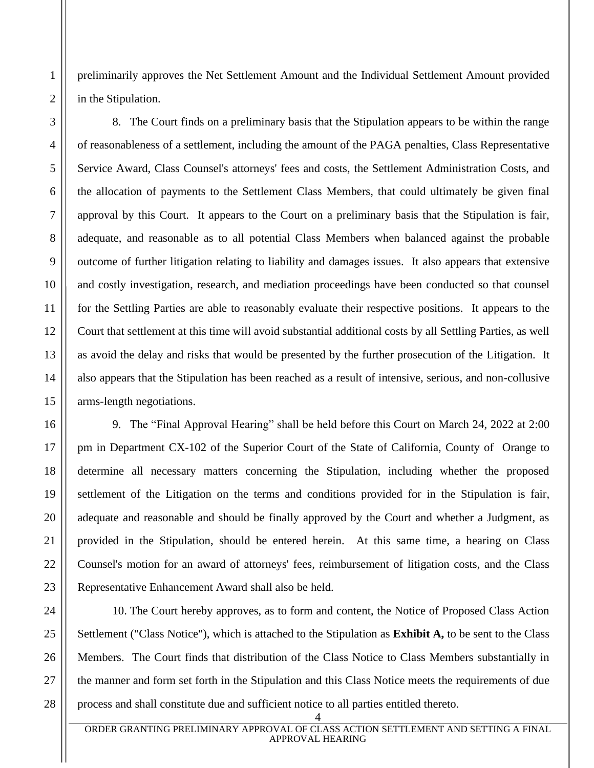preliminarily approves the Net Settlement Amount and the Individual Settlement Amount provided in the Stipulation.

8. The Court finds on a preliminary basis that the Stipulation appears to be within the range of reasonableness of a settlement, including the amount of the PAGA penalties, Class Representative Service Award, Class Counsel's attorneys' fees and costs, the Settlement Administration Costs, and the allocation of payments to the Settlement Class Members, that could ultimately be given final approval by this Court. It appears to the Court on a preliminary basis that the Stipulation is fair, adequate, and reasonable as to all potential Class Members when balanced against the probable outcome of further litigation relating to liability and damages issues. It also appears that extensive and costly investigation, research, and mediation proceedings have been conducted so that counsel for the Settling Parties are able to reasonably evaluate their respective positions. It appears to the Court that settlement at this time will avoid substantial additional costs by all Settling Parties, as well as avoid the delay and risks that would be presented by the further prosecution of the Litigation. It also appears that the Stipulation has been reached as a result of intensive, serious, and non-collusive arms-length negotiations.

9. The "Final Approval Hearing" shall be held before this Court on March 24, 2022 at 2:00 pm in Department CX-102 of the Superior Court of the State of California, County of Orange to determine all necessary matters concerning the Stipulation, including whether the proposed settlement of the Litigation on the terms and conditions provided for in the Stipulation is fair, adequate and reasonable and should be finally approved by the Court and whether a Judgment, as provided in the Stipulation, should be entered herein. At this same time, a hearing on Class Counsel's motion for an award of attorneys' fees, reimbursement of litigation costs, and the Class Representative Enhancement Award shall also be held.

10. The Court hereby approves, as to form and content, the Notice of Proposed Class Action Settlement ("Class Notice"), which is attached to the Stipulation as **Exhibit A,** to be sent to the Class Members. The Court finds that distribution of the Class Notice to Class Members substantially in the manner and form set forth in the Stipulation and this Class Notice meets the requirements of due process and shall constitute due and sufficient notice to all parties entitled thereto.

<sup>4</sup>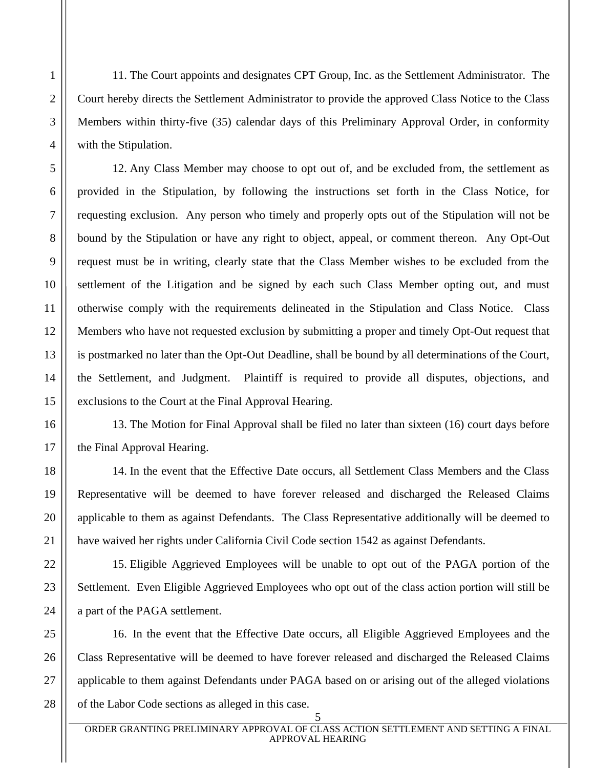11. The Court appoints and designates CPT Group, Inc. as the Settlement Administrator. The Court hereby directs the Settlement Administrator to provide the approved Class Notice to the Class Members within thirty-five (35) calendar days of this Preliminary Approval Order, in conformity with the Stipulation.

12. Any Class Member may choose to opt out of, and be excluded from, the settlement as provided in the Stipulation, by following the instructions set forth in the Class Notice, for requesting exclusion. Any person who timely and properly opts out of the Stipulation will not be bound by the Stipulation or have any right to object, appeal, or comment thereon. Any Opt-Out request must be in writing, clearly state that the Class Member wishes to be excluded from the settlement of the Litigation and be signed by each such Class Member opting out, and must otherwise comply with the requirements delineated in the Stipulation and Class Notice. Class Members who have not requested exclusion by submitting a proper and timely Opt-Out request that is postmarked no later than the Opt-Out Deadline, shall be bound by all determinations of the Court, the Settlement, and Judgment. Plaintiff is required to provide all disputes, objections, and exclusions to the Court at the Final Approval Hearing.

13. The Motion for Final Approval shall be filed no later than sixteen (16) court days before the Final Approval Hearing.

14. In the event that the Effective Date occurs, all Settlement Class Members and the Class Representative will be deemed to have forever released and discharged the Released Claims applicable to them as against Defendants. The Class Representative additionally will be deemed to have waived her rights under California Civil Code section 1542 as against Defendants.

15. Eligible Aggrieved Employees will be unable to opt out of the PAGA portion of the Settlement. Even Eligible Aggrieved Employees who opt out of the class action portion will still be a part of the PAGA settlement.

16. In the event that the Effective Date occurs, all Eligible Aggrieved Employees and the Class Representative will be deemed to have forever released and discharged the Released Claims applicable to them against Defendants under PAGA based on or arising out of the alleged violations of the Labor Code sections as alleged in this case.

5